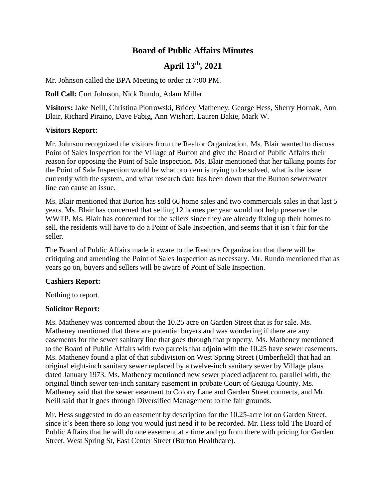# **Board of Public Affairs Minutes**

## **April 13th, 2021**

Mr. Johnson called the BPA Meeting to order at 7:00 PM.

**Roll Call:** Curt Johnson, Nick Rundo, Adam Miller

**Visitors:** Jake Neill, Christina Piotrowski, Bridey Matheney, George Hess, Sherry Hornak, Ann Blair, Richard Piraino, Dave Fabig, Ann Wishart, Lauren Bakie, Mark W.

### **Visitors Report:**

Mr. Johnson recognized the visitors from the Realtor Organization. Ms. Blair wanted to discuss Point of Sales Inspection for the Village of Burton and give the Board of Public Affairs their reason for opposing the Point of Sale Inspection. Ms. Blair mentioned that her talking points for the Point of Sale Inspection would be what problem is trying to be solved, what is the issue currently with the system, and what research data has been down that the Burton sewer/water line can cause an issue.

Ms. Blair mentioned that Burton has sold 66 home sales and two commercials sales in that last 5 years. Ms. Blair has concerned that selling 12 homes per year would not help preserve the WWTP. Ms. Blair has concerned for the sellers since they are already fixing up their homes to sell, the residents will have to do a Point of Sale Inspection, and seems that it isn't fair for the seller.

The Board of Public Affairs made it aware to the Realtors Organization that there will be critiquing and amending the Point of Sales Inspection as necessary. Mr. Rundo mentioned that as years go on, buyers and sellers will be aware of Point of Sale Inspection.

#### **Cashiers Report:**

Nothing to report.

#### **Solicitor Report:**

Ms. Matheney was concerned about the 10.25 acre on Garden Street that is for sale. Ms. Matheney mentioned that there are potential buyers and was wondering if there are any easements for the sewer sanitary line that goes through that property. Ms. Matheney mentioned to the Board of Public Affairs with two parcels that adjoin with the 10.25 have sewer easements. Ms. Matheney found a plat of that subdivision on West Spring Street (Umberfield) that had an original eight-inch sanitary sewer replaced by a twelve-inch sanitary sewer by Village plans dated January 1973. Ms. Matheney mentioned new sewer placed adjacent to, parallel with, the original 8inch sewer ten-inch sanitary easement in probate Court of Geauga County. Ms. Matheney said that the sewer easement to Colony Lane and Garden Street connects, and Mr. Neill said that it goes through Diversified Management to the fair grounds.

Mr. Hess suggested to do an easement by description for the 10.25-acre lot on Garden Street, since it's been there so long you would just need it to be recorded. Mr. Hess told The Board of Public Affairs that he will do one easement at a time and go from there with pricing for Garden Street, West Spring St, East Center Street (Burton Healthcare).